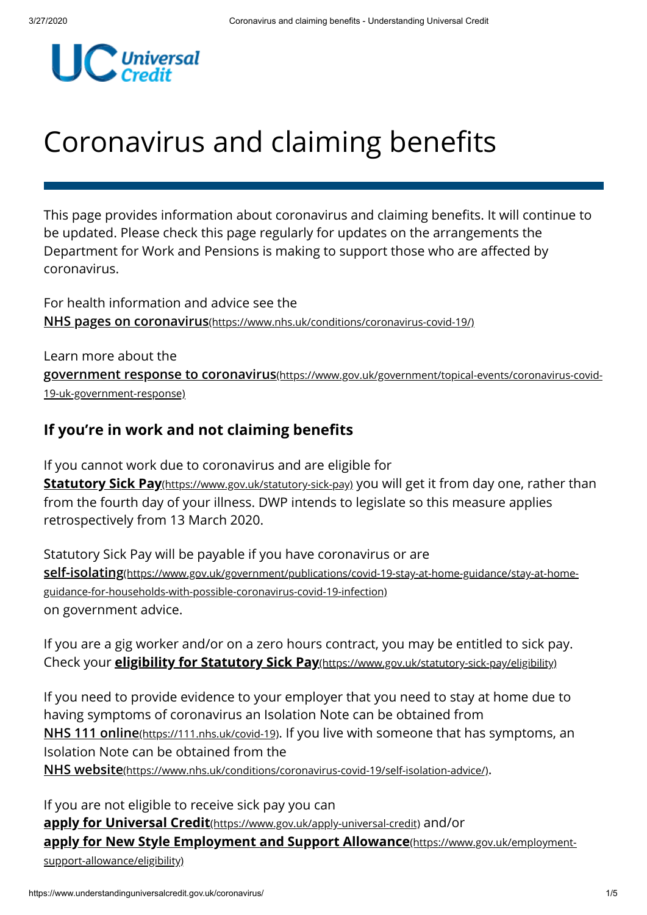

# Coronavirus and claiming benefits

This page provides information about coronavirus and claiming benefits. It will continue to be updated. Please check this page regularly for updates on the arrangements the Department for Work and Pensions is making to support those who are affected by coronavirus.

For health information and advice see the **NHS pages on coronavirus**[\(https://www.nhs.uk/conditions/coronavirus-covid-19/\)](https://www.nhs.uk/conditions/coronavirus-covid-19/)

Learn more about the **government response to coronavirus**[\(https://www.gov.uk/government/topical-events/coronavirus-covid-](https://www.gov.uk/government/topical-events/coronavirus-covid-19-uk-government-response)19-uk-government-response)

## **If you're in work and not claiming benefits**

If you cannot work due to coronavirus and are eligible for <u>Statutory Sick Pay[\(https://www.gov.uk/statutory-sick-pay\)](https://www.gov.uk/statutory-sick-pay)</u> you will get it from day one, rather than from the fourth day of your illness. DWP intends to legislate so this measure applies retrospectively from 13 March 2020.

Statutory Sick Pay will be payable if you have coronavirus or are on government advice. **self-isolating**[\(https://www.gov.uk/government/publications/covid-19-stay-at-home-guidance/stay-at-home](https://www.gov.uk/government/publications/covid-19-stay-at-home-guidance/stay-at-home-guidance-for-households-with-possible-coronavirus-covid-19-infection)guidance-for-households-with-possible-coronavirus-covid-19-infection)

If you are a gig worker and/or on a zero hours contract, you may be entitled to sick pay. Check your **[eligibility for Statutory Sick Pay](https://www.gov.uk/statutory-sick-pay/eligibility)**(https://www.gov.uk/statutory-sick-pay/eligibility)

If you need to provide evidence to your employer that you need to stay at home due to having symptoms of coronavirus an Isolation Note can be obtained from **NHS 111 online**[\(https://111.nhs.uk/covid-19\)](https://111.nhs.uk/covid-19). If you live with someone that has symptoms, an Isolation Note can be obtained from the NHS website[\(https://www.nhs.uk/conditions/coronavirus-covid-19/self-isolation-advice/\)](https://www.nhs.uk/conditions/coronavirus-covid-19/self-isolation-advice/).

If you are not eligible to receive sick pay you can apply for Universal Credit[\(https://www.gov.uk/apply-universal-credit\)](https://www.gov.uk/apply-universal-credit) and/or **[apply for New Style Employment and Support Allowance](https://www.gov.uk/employment-support-allowance/eligibility)**(https://www.gov.uk/employmentsupport-allowance/eligibility)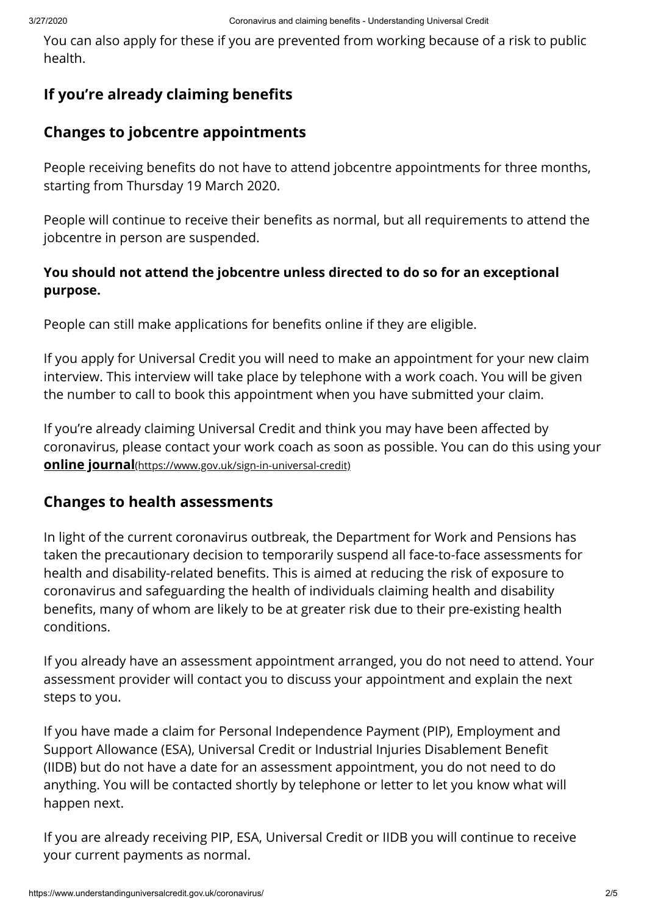You can also apply for these if you are prevented from working because of a risk to public health.

# **If you're already claiming benefits**

## **Changes to jobcentre appointments**

People receiving benefits do not have to attend jobcentre appointments for three months, starting from Thursday 19 March 2020.

People will continue to receive their benefits as normal, but all requirements to attend the jobcentre in person are suspended.

#### **You should not attend the jobcentre unless directed to do so for an exceptional purpose.**

People can still make applications for benefits online if they are eligible.

If you apply for Universal Credit you will need to make an appointment for your new claim interview. This interview will take place by telephone with a work coach. You will be given the number to call to book this appointment when you have submitted your claim.

If you're already claiming Universal Credit and think you may have been affected by coronavirus, please contact your work coach as soon as possible. You can do this using your **online journal**[\(https://www.gov.uk/sign-in-universal-credit\)](https://www.gov.uk/sign-in-universal-credit)

## **Changes to health assessments**

In light of the current coronavirus outbreak, the Department for Work and Pensions has taken the precautionary decision to temporarily suspend all face-to-face assessments for health and disability-related benefits. This is aimed at reducing the risk of exposure to coronavirus and safeguarding the health of individuals claiming health and disability benefits, many of whom are likely to be at greater risk due to their pre-existing health conditions.

If you already have an assessment appointment arranged, you do not need to attend. Your assessment provider will contact you to discuss your appointment and explain the next steps to you.

If you have made a claim for Personal Independence Payment (PIP), Employment and Support Allowance (ESA), Universal Credit or Industrial Injuries Disablement Benet (IIDB) but do not have a date for an assessment appointment, you do not need to do anything. You will be contacted shortly by telephone or letter to let you know what will happen next.

If you are already receiving PIP, ESA, Universal Credit or IIDB you will continue to receive your current payments as normal.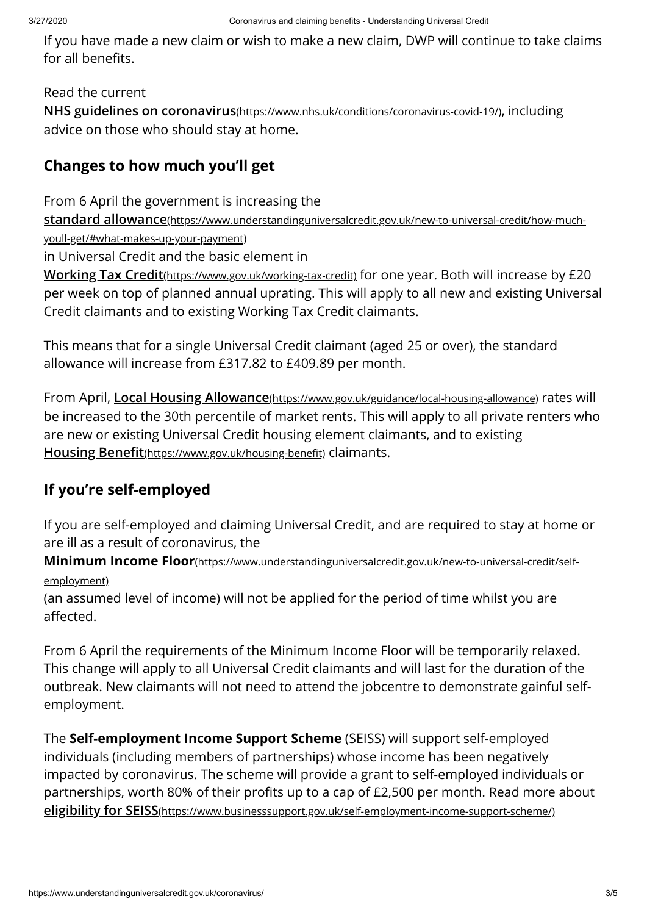If you have made a new claim or wish to make a new claim, DWP will continue to take claims for all benefits.

#### Read the current

NHS guidelines on coronavirus[\(https://www.nhs.uk/conditions/coronavirus-covid-19/\)](https://www.nhs.uk/conditions/coronavirus-covid-19/), including advice on those who should stay at home.

# **Changes to how much you'll get**

From 6 April the government is increasing the

**standard allowance**[\(https://www.understandinguniversalcredit.gov.uk/new-to-universal-credit/how-much-](https://www.understandinguniversalcredit.gov.uk/new-to-universal-credit/how-much-youll-get/#what-makes-up-your-payment)

youll-get/#what-makes-up-your-payment)

in Universal Credit and the basic element in

<u>Working Tax Credit[\(https://www.gov.uk/working-tax-credit\)](https://www.gov.uk/working-tax-credit)</u> for one year. Both will increase by £20 per week on top of planned annual uprating. This will apply to all new and existing Universal Credit claimants and to existing Working Tax Credit claimants.

This means that for a single Universal Credit claimant (aged 25 or over), the standard allowance will increase from £317.82 to £409.89 per month.

From April, Local Housing Allowance(https://www.gov.uk/guidance/local-housing-allowance) rates will be increased to the 30th percentile of market rents. This will apply to all private renters who are new or existing Universal Credit housing element claimants, and to existing Housing Benefit(https://www.gov.uk/housing-benefit) claimants.

# **If you're self-employed**

If you are self-employed and claiming Universal Credit, and are required to stay at home or are ill as a result of coronavirus, the

**Minimum Income Floor**[\(https://www.understandinguniversalcredit.gov.uk/new-to-universal-credit/self](https://www.understandinguniversalcredit.gov.uk/new-to-universal-credit/self-employment)employment)

(an assumed level of income) will not be applied for the period of time whilst you are affected

From 6 April the requirements of the Minimum Income Floor will be temporarily relaxed. This change will apply to all Universal Credit claimants and will last for the duration of the outbreak. New claimants will not need to attend the jobcentre to demonstrate gainful selfemployment.

The **Self-employment Income Support Scheme** (SEISS) will support self-employed individuals (including members of partnerships) whose income has been negatively impacted by coronavirus. The scheme will provide a grant to self-employed individuals or partnerships, worth 80% of their profits up to a cap of £2,500 per month. Read more about **eligibility for SEISS**[\(https://www.businesssupport.gov.uk/self-employment-income-support-scheme/\)](https://www.businesssupport.gov.uk/self-employment-income-support-scheme/)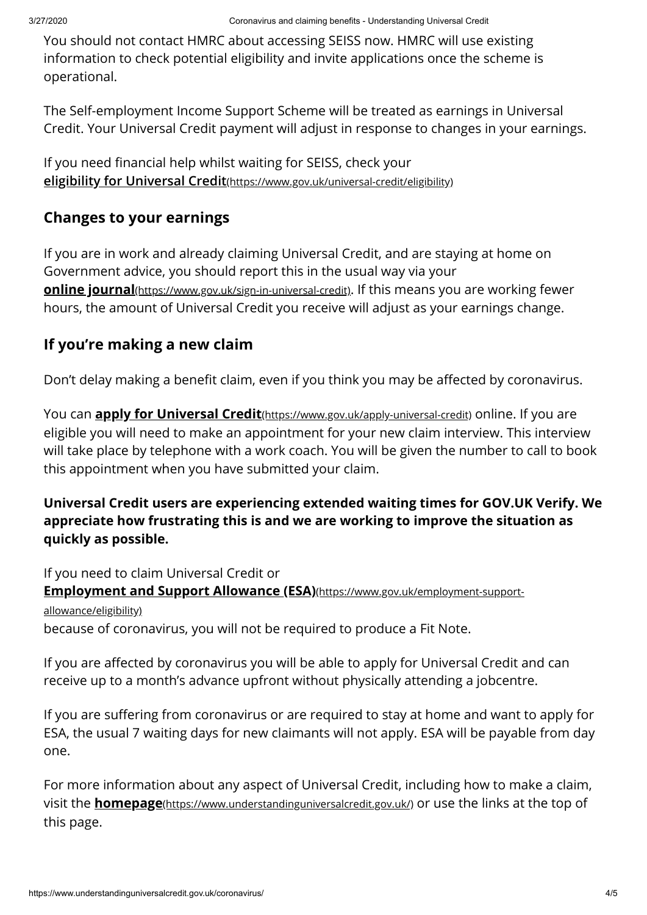You should not contact HMRC about accessing SEISS now. HMRC will use existing information to check potential eligibility and invite applications once the scheme is operational.

The Self-employment Income Support Scheme will be treated as earnings in Universal Credit. Your Universal Credit payment will adjust in response to changes in your earnings.

If you need financial help whilst waiting for SEISS, check your **[eligibility for Universal Credit](https://www.gov.uk/universal-credit/eligibility)**(https://www.gov.uk/universal-credit/eligibility)

## **Changes to your earnings**

If you are in work and already claiming Universal Credit, and are staying at home on Government advice, you should report this in the usual way via your **<u>online journal**[\(https://www.gov.uk/sign-in-universal-credit\)](https://www.gov.uk/sign-in-universal-credit)</u>. If this means you are working fewer hours, the amount of Universal Credit you receive will adjust as your earnings change.

## **If you're making a new claim**

Don't delay making a benefit claim, even if you think you may be affected by coronavirus.

You can **<u>apply for Universal Credit**(https://www.gov.uk/apply-universal-credit)</u> online. If you are eligible you will need to make an appointment for your new claim interview. This interview will take place by telephone with a work coach. You will be given the number to call to book this appointment when you have submitted your claim.

#### **Universal Credit users are experiencing extended waiting times for GOV.UK Verify. We appreciate how frustrating this is and we are working to improve the situation as quickly as possible.**

If you need to claim Universal Credit or because of coronavirus, you will not be required to produce a Fit Note. **[Employment and Support Allowance \(ESA\)](https://www.gov.uk/employment-support-allowance/eligibility)**(https://www.gov.uk/employment-supportallowance/eligibility)

If you are affected by coronavirus you will be able to apply for Universal Credit and can receive up to a month's advance upfront without physically attending a jobcentre.

If you are suffering from coronavirus or are required to stay at home and want to apply for ESA, the usual 7 waiting days for new claimants will not apply. ESA will be payable from day one.

For more information about any aspect of Universal Credit, including how to make a claim, visit the **<u>homepage**(https://www.understandinguniversalcredit.gov.uk/)</u> or use the links at the top of this page.